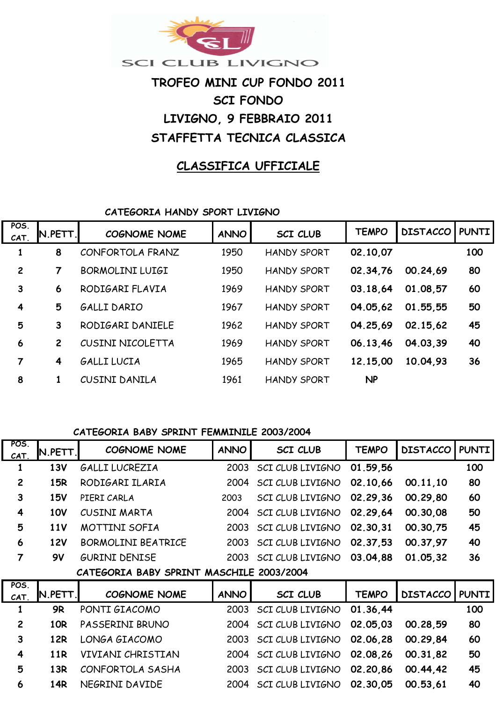

# **LIVIGNO, 9 FEBBRAIO 2011 STAFFETTA TECNICA CLASSICA TROFEO MINI CUP FONDO 2011 SCI FONDO**

# **CLASSIFICA UFFICIALE**

**CATEGORIA HANDY SPORT LIVIGNO**

| POS.<br>CAT.            | N.PETT.        | <b>COGNOME NOME</b>    | <b>ANNO</b> | <b>SCI CLUB</b>    | <b>TEMPO</b> | <b>DISTACCO PUNTI</b> |     |
|-------------------------|----------------|------------------------|-------------|--------------------|--------------|-----------------------|-----|
| 1                       | 8              | CONFORTOLA FRANZ       | 1950        | <b>HANDY SPORT</b> | 02.10,07     |                       | 100 |
| $\overline{c}$          | 7              | <b>BORMOLINI LUIGI</b> | 1950        | <b>HANDY SPORT</b> | 02.34,76     | 00.24.69              | 80  |
| 3                       | 6              | RODIGARI FLAVIA        | 1969        | <b>HANDY SPORT</b> | 03.18.64     | 01.08,57              | 60  |
| $\overline{\mathbf{4}}$ | 5              | <b>GALLI DARIO</b>     | 1967        | <b>HANDY SPORT</b> | 04.05.62     | 01.55.55              | 50  |
| 5                       | 3              | RODIGARI DANIELE       | 1962        | <b>HANDY SPORT</b> | 04.25.69     | 02.15.62              | 45  |
| 6                       | $\overline{2}$ | CUSINI NICOLETTA       | 1969        | <b>HANDY SPORT</b> | 06.13,46     | 04.03.39              | 40  |
| 7                       | 4              | <b>GALLI LUCIA</b>     | 1965        | <b>HANDY SPORT</b> | 12.15,00     | 10.04.93              | 36  |
| 8                       |                | CUSINI DANILA          | 1961        | <b>HANDY SPORT</b> | <b>NP</b>    |                       |     |

#### **CATEGORIA BABY SPRINT FEMMINILE 2003/2004**

**POS.** 

| CAT.                    | IN.PETT.   | <b>COGNOME NOME</b>                      | <b>ANNO</b> | <b>SCI CLUB</b>         | TEMPO        | <b>DISTACCO</b> | <b>PUNTI</b> |
|-------------------------|------------|------------------------------------------|-------------|-------------------------|--------------|-----------------|--------------|
| 1                       | <b>13V</b> | GALLI LUCREZIA                           | 2003        | SCI CLUB LIVIGNO        | 01.59,56     |                 | 100          |
| $\overline{2}$          | 15R        | RODIGARI ILARIA                          | 2004        | SCI CLUB LIVIGNO        | 02.10.66     | 00.11,10        | 80           |
| $\mathbf{3}$            | <b>15V</b> | PIERI CARLA                              | 2003        | SCI CLUB LIVIGNO        | 02.29,36     | 00.29,80        | 60           |
| 4                       | <b>10V</b> | CUSINI MARTA                             | 2004        | SCI CLUB LIVIGNO        | 02.29.64     | 00.30,08        | 50           |
| 5                       | <b>11V</b> | <b>MOTTINI SOFIA</b>                     | 2003        | <b>SCI CLUB LIVIGNO</b> | 02.30.31     | 00.30,75        | 45           |
| 6                       | <b>12V</b> | <b>BORMOLINI BEATRICE</b>                | 2003        | SCI CLUB LIVIGNO        | 02.37,53     | 00.37,97        | 40           |
| $\overline{7}$          | 9V         | <b>GURINI DENISE</b>                     | 2003        | SCI CLUB LIVIGNO        | 03.04,88     | 01.05,32        | 36           |
|                         |            |                                          |             |                         |              |                 |              |
|                         |            | CATEGORIA BABY SPRINT MASCHILE 2003/2004 |             |                         |              |                 |              |
| POS.<br>CAT.            | N.PETT.    | <b>COGNOME NOME</b>                      | <b>ANNO</b> | <b>SCI CLUB</b>         | <b>TEMPO</b> | <b>DISTACCO</b> | <b>PUNTI</b> |
| 1                       | <b>9R</b>  | PONTI GIACOMO                            | 2003        | SCI CLUB LIVIGNO        | 01.36.44     |                 | 100          |
| $\overline{2}$          | 10R        | PASSERINI BRUNO                          | 2004        | SCI CLUB LIVIGNO        | 02.05.03     | 00.28,59        | 80           |
| $\overline{\mathbf{3}}$ | <b>12R</b> | LONGA GIACOMO                            | 2003        | SCI CLUB LIVIGNO        | 02.06,28     | 00.29,84        | 60           |
| 4                       | <b>11R</b> | VIVIANI CHRISTIAN                        | 2004        | SCI CLUB LIVIGNO        | 02.08,26     | 00.31,82        | 50           |
| 5                       | 13R        | CONFORTOLA SASHA                         | 2003        | SCI CLUB LIVIGNO        | 02.20,86     | 00.44,42        | 45           |
| 6                       | 14R        | NEGRINI DAVIDE                           | 2004        | SCI CLUB LIVIGNO        | 02.30.05     | 00.53,61        | 40           |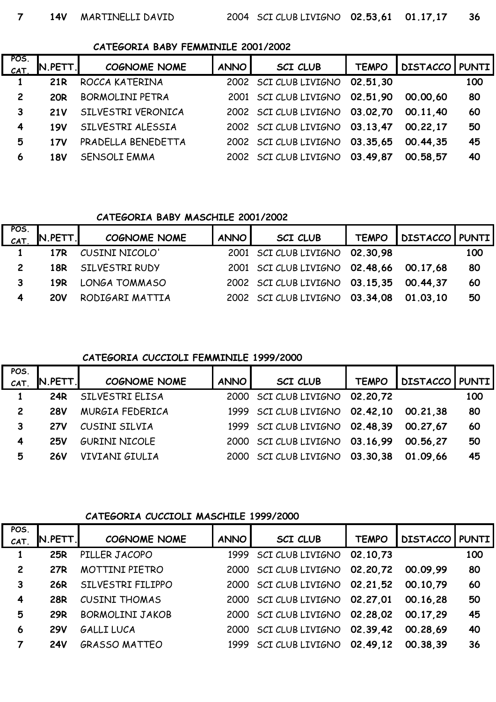#### **CATEGORIA BABY FEMMINILE 2001/2002**

| POS.<br>CAT    | $N.PETT$ . | <b>COGNOME NOME</b>    | ANNO I | <b>SCI CLUB</b>                | <b>TEMPO</b> | DISTACCO   PUNTI |     |
|----------------|------------|------------------------|--------|--------------------------------|--------------|------------------|-----|
|                | <b>21R</b> | ROCCA KATERINA         |        | 2002 SCI CLUB LIVIGNO          | 02.51.30     |                  | 100 |
| $\overline{2}$ | <b>20R</b> | <b>BORMOLINI PETRA</b> |        | 2001 SCI CLUB LIVIGNO 02.51,90 |              | 00.00.60         | 80  |
| 3              | <b>21V</b> | SILVESTRI VERONICA     |        | 2002 SCI CLUB LIVIGNO 03.02,70 |              | 00.11.40         | 60  |
| 4              | <b>19V</b> | SILVESTRI ALESSIA      |        | 2002 SCI CLUB LIVIGNO 03.13,47 |              | 00.22.17         | 50  |
| 5              | 17V        | PRADELLA BENEDETTA     |        | 2002 SCI CLUB LIVIGNO 03.35,65 |              | 00.44.35         | 45  |
| 6              | <b>18V</b> | <b>SENSOLI EMMA</b>    |        | 2002 SCI CLUB LIVIGNO 03.49,87 |              | 00.58.57         | 40  |

#### **CATEGORIA BABY MASCHILE 2001/2002**

| POS.<br>CAT | N.PETT.    | <b>COGNOME NOME</b> | ANNO I | <b>SCI CLUB</b>                         | <b>TEMPO</b> | DISTACCO   PUNTI |     |
|-------------|------------|---------------------|--------|-----------------------------------------|--------------|------------------|-----|
|             | 17R        | CUSINI NICOLO'      |        | 2001 SCI CLUB LIVIGNO 02.30,98          |              |                  | 100 |
|             | 18R        | SILVESTRI RUDY      |        | 2001 SCI CLUB LIVIGNO 02.48,66          |              | 00.17.68         | 80  |
| 3           | 19R        | LONGA TOMMASO       |        | 2002 SCI CLUB LIVIGNO 03.15,35 00.44,37 |              |                  | 60  |
| 4           | <b>20V</b> | RODIGARI MATTIA     |        | 2002 SCI CLUB LIVIGNO 03.34,08          |              | 01.03.10         | 50  |

#### **CATEGORIA CUCCIOLI FEMMINILE 1999/2000**

| POS.           |            |                      |             |                                |              |                |     |
|----------------|------------|----------------------|-------------|--------------------------------|--------------|----------------|-----|
| CAT.           | N.PETT.    | <b>COGNOME NOME</b>  | <b>ANNO</b> | <b>SCI CLUB</b>                | <b>TEMPO</b> | DISTACCO PUNTI |     |
|                | 24R        | SILVESTRI ELISA      |             | 2000 SCI CLUB LIVIGNO          | 02.20.72     |                | 100 |
| $\overline{c}$ | <b>28V</b> | MURGIA FEDERICA      |             | 1999 SCI CLUB LIVIGNO 02.42,10 |              | 00.21.38       | 80  |
| 3              | <b>27V</b> | CUSINI SILVIA        |             | 1999 SCI CLUB LIVIGNO 02.48,39 |              | 00.27.67       | 60  |
| 4              | <b>25V</b> | <b>GURINI NICOLE</b> |             | 2000 SCI CLUB LIVIGNO 03.16,99 |              | 00.56.27       | 50  |
| 5              | <b>26V</b> | VIVIANI GIULIA       |             | 2000 SCI CLUB LIVIGNO 03.30.38 |              | 01.09.66       | 45  |

#### **CATEGORIA CUCCIOLI MASCHILE 1999/2000**

| POS.           |                |                        |             |                                |              |                         |     |
|----------------|----------------|------------------------|-------------|--------------------------------|--------------|-------------------------|-----|
| CAT.           | <b>N.PETT.</b> | <b>COGNOME NOME</b>    | <b>ANNO</b> | <b>SCI CLUB</b>                | <b>TEMPO</b> | <b>DISTACCO   PUNTI</b> |     |
| 1              | <b>25R</b>     | PILLER JACOPO          |             | 1999 SCI CLUB LIVIGNO          | 02.10.73     |                         | 100 |
| $\overline{c}$ | 27R            | MOTTINI PIETRO         |             | 2000 SCI CLUB LIVIGNO 02.20.72 |              | 00.09.99                | 80  |
| 3              | 26R            | SILVESTRI FILIPPO      |             | 2000 SCI CLUB LIVIGNO 02.21.52 |              | 00.10.79                | 60  |
| $\overline{4}$ | <b>28R</b>     | <b>CUSINI THOMAS</b>   |             | 2000 SCI CLUB LIVIGNO 02.27,01 |              | 00.16.28                | 50  |
| 5              | <b>29R</b>     | <b>BORMOLINI JAKOB</b> |             | 2000 SCI CLUB LIVIGNO 02.28.02 |              | 00.17.29                | 45  |
| 6              | <b>29V</b>     | GALLI LUCA             |             | 2000 SCI CLUB LIVIGNO 02.39.42 |              | 00.28.69                | 40  |
| 7              | <b>24V</b>     | <b>GRASSO MATTEO</b>   |             | 1999 SCI CLUB LIVIGNO 02.49.12 |              | 00.38.39                | 36  |